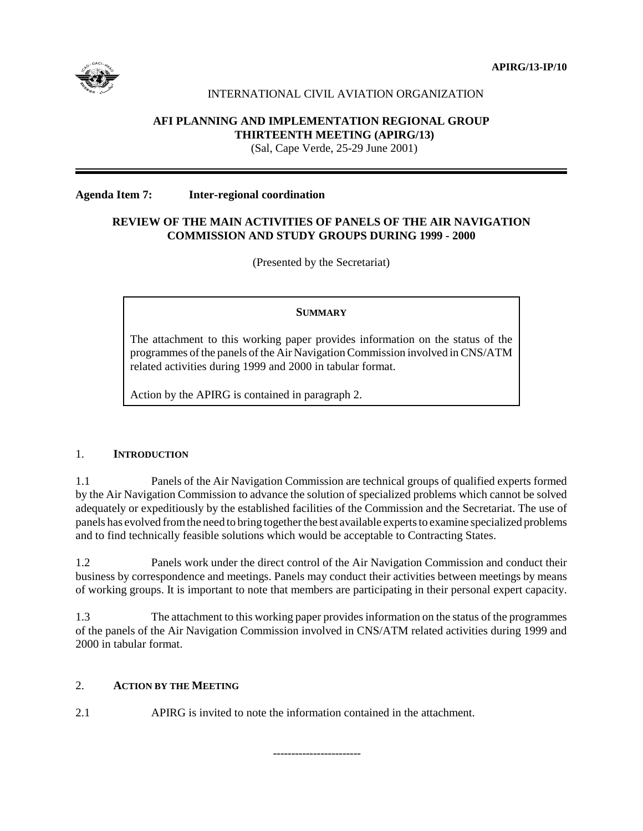

# INTERNATIONAL CIVIL AVIATION ORGANIZATION

# **AFI PLANNING AND IMPLEMENTATION REGIONAL GROUP THIRTEENTH MEETING (APIRG/13)**

(Sal, Cape Verde, 25-29 June 2001)

### **Agenda Item 7: Inter-regional coordination**

## **REVIEW OF THE MAIN ACTIVITIES OF PANELS OF THE AIR NAVIGATION COMMISSION AND STUDY GROUPS DURING 1999 - 2000**

(Presented by the Secretariat)

## **SUMMARY**

The attachment to this working paper provides information on the status of the programmes of the panels of the Air Navigation Commission involved in CNS/ATM related activities during 1999 and 2000 in tabular format.

Action by the APIRG is contained in paragraph 2.

## 1. **INTRODUCTION**

1.1 Panels of the Air Navigation Commission are technical groups of qualified experts formed by the Air Navigation Commission to advance the solution of specialized problems which cannot be solved adequately or expeditiously by the established facilities of the Commission and the Secretariat. The use of panels has evolved from the need to bring together the best available experts to examine specialized problems and to find technically feasible solutions which would be acceptable to Contracting States.

1.2 Panels work under the direct control of the Air Navigation Commission and conduct their business by correspondence and meetings. Panels may conduct their activities between meetings by means of working groups. It is important to note that members are participating in their personal expert capacity.

1.3 The attachment to this working paper provides information on the status of the programmes of the panels of the Air Navigation Commission involved in CNS/ATM related activities during 1999 and 2000 in tabular format.

## 2. **ACTION BY THE MEETING**

2.1 APIRG is invited to note the information contained in the attachment.

------------------------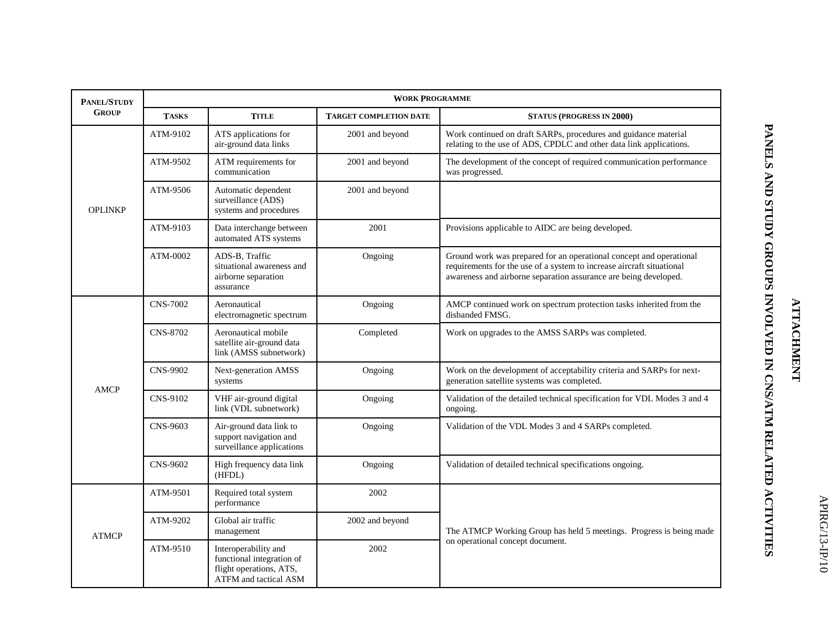| <b>PANEL/STUDY</b> | <b>WORK PROGRAMME</b> |                                                                                                       |                               |                                                                                                                                                                                                                  |  |  |  |
|--------------------|-----------------------|-------------------------------------------------------------------------------------------------------|-------------------------------|------------------------------------------------------------------------------------------------------------------------------------------------------------------------------------------------------------------|--|--|--|
| <b>GROUP</b>       | <b>TASKS</b>          | <b>TITLE</b>                                                                                          | <b>TARGET COMPLETION DATE</b> | <b>STATUS (PROGRESS IN 2000)</b>                                                                                                                                                                                 |  |  |  |
| <b>OPLINKP</b>     | ATM-9102              | ATS applications for<br>air-ground data links                                                         | 2001 and beyond               | Work continued on draft SARPs, procedures and guidance material<br>relating to the use of ADS, CPDLC and other data link applications.                                                                           |  |  |  |
|                    | ATM-9502              | ATM requirements for<br>communication                                                                 | 2001 and beyond               | The development of the concept of required communication performance<br>was progressed.                                                                                                                          |  |  |  |
|                    | ATM-9506              | Automatic dependent<br>surveillance (ADS)<br>systems and procedures                                   | 2001 and beyond               |                                                                                                                                                                                                                  |  |  |  |
|                    | ATM-9103              | Data interchange between<br>automated ATS systems                                                     | 2001                          | Provisions applicable to AIDC are being developed.                                                                                                                                                               |  |  |  |
|                    | ATM-0002              | ADS-B, Traffic<br>situational awareness and<br>airborne separation<br>assurance                       | Ongoing                       | Ground work was prepared for an operational concept and operational<br>requirements for the use of a system to increase aircraft situational<br>awareness and airborne separation assurance are being developed. |  |  |  |
| <b>AMCP</b>        | <b>CNS-7002</b>       | Aeronautical<br>electromagnetic spectrum                                                              | Ongoing                       | AMCP continued work on spectrum protection tasks inherited from the<br>disbanded FMSG.                                                                                                                           |  |  |  |
|                    | CNS-8702              | Aeronautical mobile<br>satellite air-ground data<br>link (AMSS subnetwork)                            | Completed                     | Work on upgrades to the AMSS SARPs was completed.                                                                                                                                                                |  |  |  |
|                    | <b>CNS-9902</b>       | Next-generation AMSS<br>systems                                                                       | Ongoing                       | Work on the development of acceptability criteria and SARPs for next-<br>generation satellite systems was completed.                                                                                             |  |  |  |
|                    | CNS-9102              | VHF air-ground digital<br>link (VDL subnetwork)                                                       | Ongoing                       | Validation of the detailed technical specification for VDL Modes 3 and 4<br>ongoing.                                                                                                                             |  |  |  |
|                    | CNS-9603              | Air-ground data link to<br>support navigation and<br>surveillance applications                        | Ongoing                       | Validation of the VDL Modes 3 and 4 SARPs completed.                                                                                                                                                             |  |  |  |
|                    | <b>CNS-9602</b>       | High frequency data link<br>(HFDL)                                                                    | Ongoing                       | Validation of detailed technical specifications ongoing.                                                                                                                                                         |  |  |  |
| <b>ATMCP</b>       | ATM-9501              | Required total system<br>performance                                                                  | 2002                          |                                                                                                                                                                                                                  |  |  |  |
|                    | ATM-9202              | Global air traffic<br>management                                                                      | 2002 and beyond               | The ATMCP Working Group has held 5 meetings. Progress is being made<br>on operational concept document.                                                                                                          |  |  |  |
|                    | ATM-9510              | Interoperability and<br>functional integration of<br>flight operations, ATS,<br>ATFM and tactical ASM | 2002                          |                                                                                                                                                                                                                  |  |  |  |

**PANELS AND STUDY GROUPS INVOLVED IN CNS/ATM RELATED ACTIVITIES**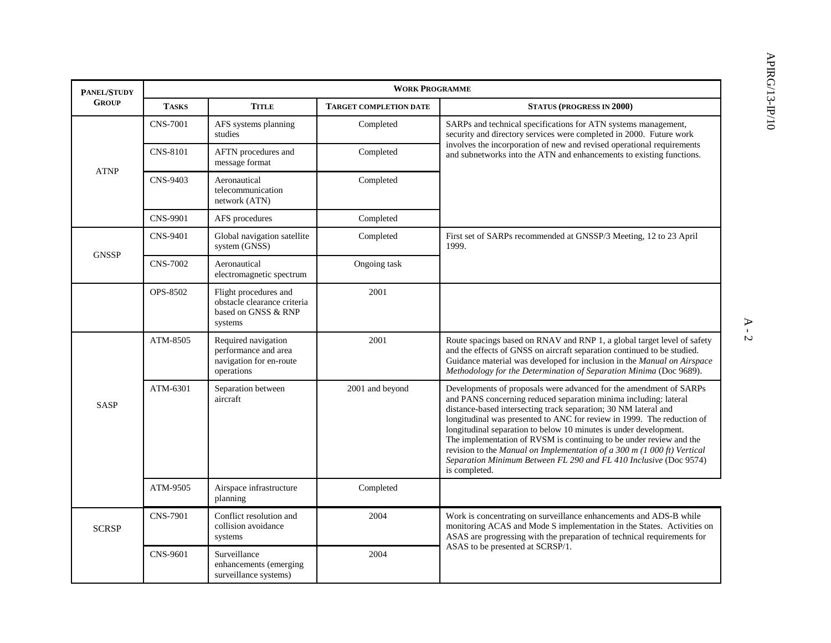| PANEL/STUDY  | <b>WORK PROGRAMME</b> |                                                                                        |                               |                                                                                                                                                                                                                                                                                                                                                                                                                                                                                                                                                                                                  |  |  |  |
|--------------|-----------------------|----------------------------------------------------------------------------------------|-------------------------------|--------------------------------------------------------------------------------------------------------------------------------------------------------------------------------------------------------------------------------------------------------------------------------------------------------------------------------------------------------------------------------------------------------------------------------------------------------------------------------------------------------------------------------------------------------------------------------------------------|--|--|--|
| <b>GROUP</b> | <b>TASKS</b>          | <b>TITLE</b>                                                                           | <b>TARGET COMPLETION DATE</b> | <b>STATUS (PROGRESS IN 2000)</b>                                                                                                                                                                                                                                                                                                                                                                                                                                                                                                                                                                 |  |  |  |
| <b>ATNP</b>  | <b>CNS-7001</b>       | AFS systems planning<br>studies                                                        | Completed                     | SARPs and technical specifications for ATN systems management,<br>security and directory services were completed in 2000. Future work<br>involves the incorporation of new and revised operational requirements<br>and subnetworks into the ATN and enhancements to existing functions.                                                                                                                                                                                                                                                                                                          |  |  |  |
|              | <b>CNS-8101</b>       | AFTN procedures and<br>message format                                                  | Completed                     |                                                                                                                                                                                                                                                                                                                                                                                                                                                                                                                                                                                                  |  |  |  |
|              | <b>CNS-9403</b>       | Aeronautical<br>telecommunication<br>network (ATN)                                     | Completed                     |                                                                                                                                                                                                                                                                                                                                                                                                                                                                                                                                                                                                  |  |  |  |
|              | <b>CNS-9901</b>       | AFS procedures                                                                         | Completed                     |                                                                                                                                                                                                                                                                                                                                                                                                                                                                                                                                                                                                  |  |  |  |
| <b>GNSSP</b> | <b>CNS-9401</b>       | Global navigation satellite<br>system (GNSS)                                           | Completed                     | First set of SARPs recommended at GNSSP/3 Meeting, 12 to 23 April<br>1999.                                                                                                                                                                                                                                                                                                                                                                                                                                                                                                                       |  |  |  |
|              | <b>CNS-7002</b>       | Aeronautical<br>electromagnetic spectrum                                               | Ongoing task                  |                                                                                                                                                                                                                                                                                                                                                                                                                                                                                                                                                                                                  |  |  |  |
|              | OPS-8502              | Flight procedures and<br>obstacle clearance criteria<br>based on GNSS & RNP<br>systems | 2001                          |                                                                                                                                                                                                                                                                                                                                                                                                                                                                                                                                                                                                  |  |  |  |
| <b>SASP</b>  | ATM-8505              | Required navigation<br>performance and area<br>navigation for en-route<br>operations   | 2001                          | Route spacings based on RNAV and RNP 1, a global target level of safety<br>and the effects of GNSS on aircraft separation continued to be studied.<br>Guidance material was developed for inclusion in the Manual on Airspace<br>Methodology for the Determination of Separation Minima (Doc 9689).                                                                                                                                                                                                                                                                                              |  |  |  |
|              | ATM-6301              | Separation between<br>aircraft                                                         | 2001 and beyond               | Developments of proposals were advanced for the amendment of SARPs<br>and PANS concerning reduced separation minima including: lateral<br>distance-based intersecting track separation; 30 NM lateral and<br>longitudinal was presented to ANC for review in 1999. The reduction of<br>longitudinal separation to below 10 minutes is under development.<br>The implementation of RVSM is continuing to be under review and the<br>revision to the Manual on Implementation of a 300 m (1 000 ft) Vertical<br>Separation Minimum Between FL 290 and FL 410 Inclusive (Doc 9574)<br>is completed. |  |  |  |
|              | ATM-9505              | Airspace infrastructure<br>planning                                                    | Completed                     |                                                                                                                                                                                                                                                                                                                                                                                                                                                                                                                                                                                                  |  |  |  |
| <b>SCRSP</b> | <b>CNS-7901</b>       | Conflict resolution and<br>collision avoidance<br>systems                              | 2004                          | Work is concentrating on surveillance enhancements and ADS-B while<br>monitoring ACAS and Mode S implementation in the States. Activities on<br>ASAS are progressing with the preparation of technical requirements for<br>ASAS to be presented at SCRSP/1.                                                                                                                                                                                                                                                                                                                                      |  |  |  |
|              | <b>CNS-9601</b>       | Surveillance<br>enhancements (emerging<br>surveillance systems)                        | 2004                          |                                                                                                                                                                                                                                                                                                                                                                                                                                                                                                                                                                                                  |  |  |  |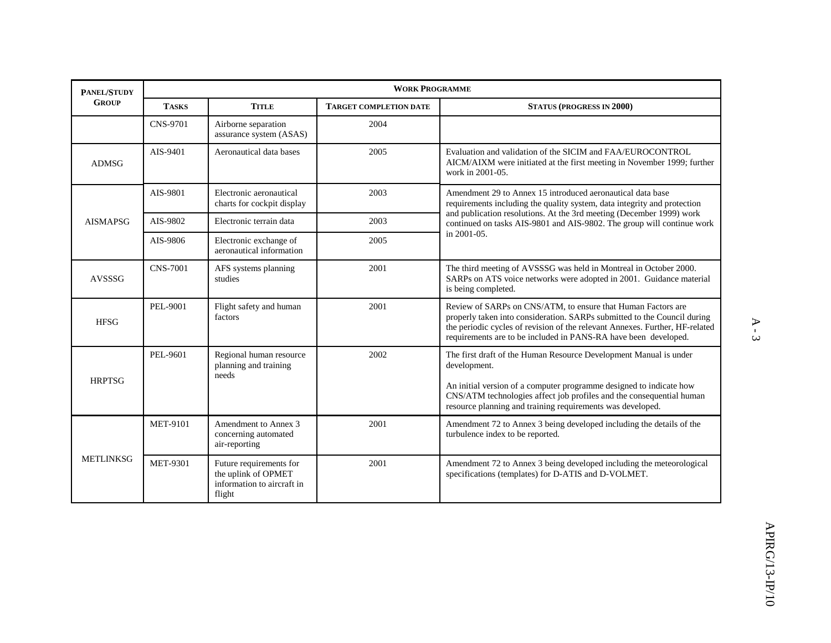| PANEL/STUDY      | <b>WORK PROGRAMME</b> |                                                                                        |                               |                                                                                                                                                                                                                                                                                                         |  |  |
|------------------|-----------------------|----------------------------------------------------------------------------------------|-------------------------------|---------------------------------------------------------------------------------------------------------------------------------------------------------------------------------------------------------------------------------------------------------------------------------------------------------|--|--|
| <b>GROUP</b>     | <b>TASKS</b>          | <b>TITLE</b>                                                                           | <b>TARGET COMPLETION DATE</b> | <b>STATUS (PROGRESS IN 2000)</b>                                                                                                                                                                                                                                                                        |  |  |
|                  | <b>CNS-9701</b>       | Airborne separation<br>assurance system (ASAS)                                         | 2004                          |                                                                                                                                                                                                                                                                                                         |  |  |
| <b>ADMSG</b>     | AIS-9401              | Aeronautical data bases                                                                | 2005                          | Evaluation and validation of the SICIM and FAA/EUROCONTROL<br>AICM/AIXM were initiated at the first meeting in November 1999; further<br>work in 2001-05.                                                                                                                                               |  |  |
|                  | AIS-9801              | Electronic aeronautical<br>charts for cockpit display                                  | 2003                          | Amendment 29 to Annex 15 introduced aeronautical data base<br>requirements including the quality system, data integrity and protection<br>and publication resolutions. At the 3rd meeting (December 1999) work<br>continued on tasks AIS-9801 and AIS-9802. The group will continue work<br>in 2001-05. |  |  |
| <b>AISMAPSG</b>  | AIS-9802              | Electronic terrain data                                                                | 2003                          |                                                                                                                                                                                                                                                                                                         |  |  |
|                  | AIS-9806              | Electronic exchange of<br>aeronautical information                                     | 2005                          |                                                                                                                                                                                                                                                                                                         |  |  |
| AVSSSG           | <b>CNS-7001</b>       | AFS systems planning<br>studies                                                        | 2001                          | The third meeting of AVSSSG was held in Montreal in October 2000.<br>SARPs on ATS voice networks were adopted in 2001. Guidance material<br>is being completed.                                                                                                                                         |  |  |
| <b>HFSG</b>      | PEL-9001              | Flight safety and human<br>factors                                                     | 2001                          | Review of SARPs on CNS/ATM, to ensure that Human Factors are<br>properly taken into consideration. SARPs submitted to the Council during<br>the periodic cycles of revision of the relevant Annexes. Further, HF-related<br>requirements are to be included in PANS-RA have been developed.             |  |  |
| <b>HRPTSG</b>    | PEL-9601              | Regional human resource<br>planning and training<br>needs                              | 2002                          | The first draft of the Human Resource Development Manual is under<br>development.<br>An initial version of a computer programme designed to indicate how<br>CNS/ATM technologies affect job profiles and the consequential human<br>resource planning and training requirements was developed.          |  |  |
| <b>METLINKSG</b> | <b>MET-9101</b>       | Amendment to Annex 3<br>concerning automated<br>air-reporting                          | 2001                          | Amendment 72 to Annex 3 being developed including the details of the<br>turbulence index to be reported.                                                                                                                                                                                                |  |  |
|                  | <b>MET-9301</b>       | Future requirements for<br>the uplink of OPMET<br>information to aircraft in<br>flight | 2001                          | Amendment 72 to Annex 3 being developed including the meteorological<br>specifications (templates) for D-ATIS and D-VOLMET.                                                                                                                                                                             |  |  |